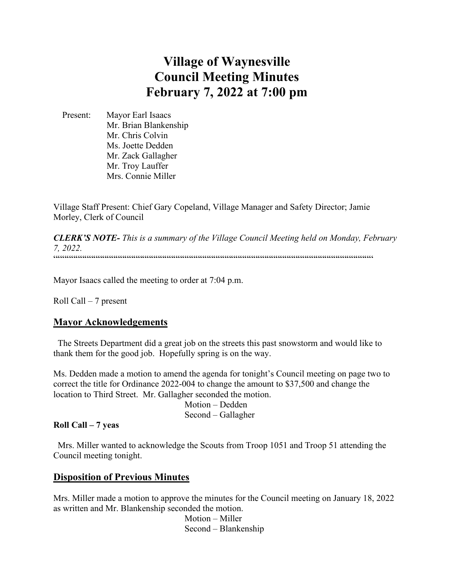# **Village of Waynesville Council Meeting Minutes February 7, 2022 at 7:00 pm**

 Present: Mayor Earl Isaacs Mr. Brian Blankenship Mr. Chris Colvin Ms. Joette Dedden Mr. Zack Gallagher Mr. Troy Lauffer Mrs. Connie Miller

Village Staff Present: Chief Gary Copeland, Village Manager and Safety Director; Jamie Morley, Clerk of Council

*CLERK'S NOTE- This is a summary of the Village Council Meeting held on Monday, February 7, 2022.*   $\label{prop:main}$ 

Mayor Isaacs called the meeting to order at 7:04 p.m.

Roll Call – 7 present

## **Mayor Acknowledgements**

 The Streets Department did a great job on the streets this past snowstorm and would like to thank them for the good job. Hopefully spring is on the way.

Ms. Dedden made a motion to amend the agenda for tonight's Council meeting on page two to correct the title for Ordinance 2022-004 to change the amount to \$37,500 and change the location to Third Street. Mr. Gallagher seconded the motion.

> Motion – Dedden Second – Gallagher

**Roll Call – 7 yeas**

 Mrs. Miller wanted to acknowledge the Scouts from Troop 1051 and Troop 51 attending the Council meeting tonight.

#### **Disposition of Previous Minutes**

Mrs. Miller made a motion to approve the minutes for the Council meeting on January 18, 2022 as written and Mr. Blankenship seconded the motion.

 Motion – Miller Second – Blankenship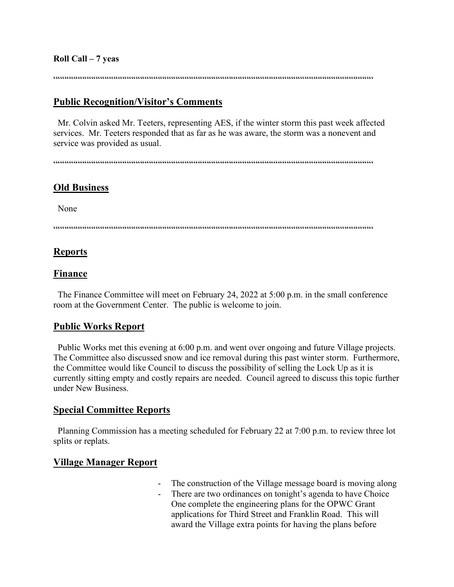$\label{prop:main} \hspace{15pt} \hspace{15pt} \textcolor{black}{\bullet} \hspace{15pt} \textcolor{black}{\bullet} \hspace{15pt} \textcolor{black}{\bullet} \hspace{15pt} \textcolor{black}{\bullet} \hspace{15pt} \textcolor{black}{\bullet} \hspace{15pt} \textcolor{black}{\bullet} \hspace{15pt} \textcolor{black}{\bullet} \hspace{15pt} \textcolor{black}{\bullet} \hspace{15pt} \textcolor{black}{\bullet} \hspace{15pt} \textcolor{black}{\bullet} \hspace{15pt} \textcolor{black}{\bullet} \hspace{15pt} \textcolor{black}{\bullet} \$ 

## **Public Recognition/Visitor's Comments**

 Mr. Colvin asked Mr. Teeters, representing AES, if the winter storm this past week affected services. Mr. Teeters responded that as far as he was aware, the storm was a nonevent and service was provided as usual.

""""""""""""""""""""""""""""""""""""""""""""""""""""""""""""""""""""""""

## **Old Business**

None

""""""""""""""""""""""""""""""""""""""""""""""""""""""""""""""""""""""""

## **Reports**

## **Finance**

 The Finance Committee will meet on February 24, 2022 at 5:00 p.m. in the small conference room at the Government Center. The public is welcome to join.

## **Public Works Report**

 Public Works met this evening at 6:00 p.m. and went over ongoing and future Village projects. The Committee also discussed snow and ice removal during this past winter storm. Furthermore, the Committee would like Council to discuss the possibility of selling the Lock Up as it is currently sitting empty and costly repairs are needed. Council agreed to discuss this topic further under New Business.

## **Special Committee Reports**

 Planning Commission has a meeting scheduled for February 22 at 7:00 p.m. to review three lot splits or replats.

## **Village Manager Report**

- The construction of the Village message board is moving along
- There are two ordinances on tonight's agenda to have Choice One complete the engineering plans for the OPWC Grant applications for Third Street and Franklin Road. This will award the Village extra points for having the plans before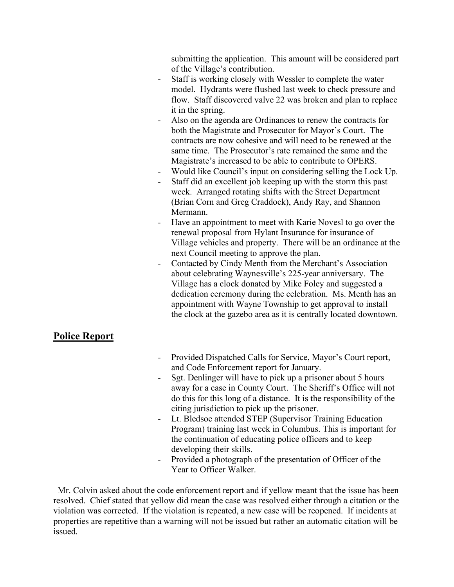submitting the application. This amount will be considered part of the Village's contribution.

- Staff is working closely with Wessler to complete the water model. Hydrants were flushed last week to check pressure and flow. Staff discovered valve 22 was broken and plan to replace it in the spring.
- Also on the agenda are Ordinances to renew the contracts for both the Magistrate and Prosecutor for Mayor's Court. The contracts are now cohesive and will need to be renewed at the same time. The Prosecutor's rate remained the same and the Magistrate's increased to be able to contribute to OPERS.
- Would like Council's input on considering selling the Lock Up.
- Staff did an excellent job keeping up with the storm this past week. Arranged rotating shifts with the Street Department (Brian Corn and Greg Craddock), Andy Ray, and Shannon Mermann.
- Have an appointment to meet with Karie Novesl to go over the renewal proposal from Hylant Insurance for insurance of Village vehicles and property. There will be an ordinance at the next Council meeting to approve the plan.
- Contacted by Cindy Menth from the Merchant's Association about celebrating Waynesville's 225-year anniversary. The Village has a clock donated by Mike Foley and suggested a dedication ceremony during the celebration. Ms. Menth has an appointment with Wayne Township to get approval to install the clock at the gazebo area as it is centrally located downtown.

## **Police Report**

- Provided Dispatched Calls for Service, Mayor's Court report, and Code Enforcement report for January.
- Sgt. Denlinger will have to pick up a prisoner about 5 hours away for a case in County Court. The Sheriff's Office will not do this for this long of a distance. It is the responsibility of the citing jurisdiction to pick up the prisoner.
- Lt. Bledsoe attended STEP (Supervisor Training Education Program) training last week in Columbus. This is important for the continuation of educating police officers and to keep developing their skills.
- Provided a photograph of the presentation of Officer of the Year to Officer Walker.

 Mr. Colvin asked about the code enforcement report and if yellow meant that the issue has been resolved. Chief stated that yellow did mean the case was resolved either through a citation or the violation was corrected. If the violation is repeated, a new case will be reopened. If incidents at properties are repetitive than a warning will not be issued but rather an automatic citation will be issued.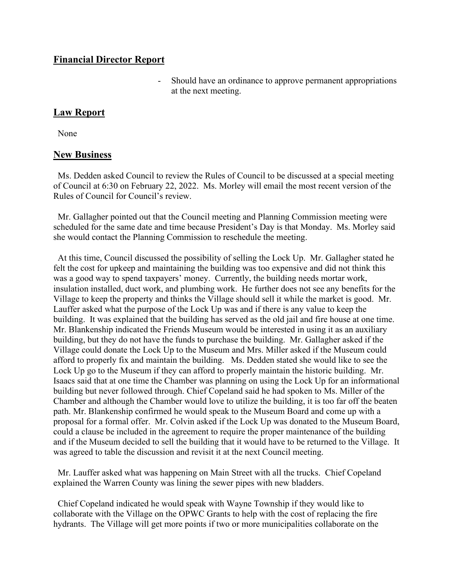## **Financial Director Report**

- Should have an ordinance to approve permanent appropriations at the next meeting.

## **Law Report**

None

## **New Business**

 Ms. Dedden asked Council to review the Rules of Council to be discussed at a special meeting of Council at 6:30 on February 22, 2022. Ms. Morley will email the most recent version of the Rules of Council for Council's review.

 Mr. Gallagher pointed out that the Council meeting and Planning Commission meeting were scheduled for the same date and time because President's Day is that Monday. Ms. Morley said she would contact the Planning Commission to reschedule the meeting.

 At this time, Council discussed the possibility of selling the Lock Up. Mr. Gallagher stated he felt the cost for upkeep and maintaining the building was too expensive and did not think this was a good way to spend taxpayers' money. Currently, the building needs mortar work, insulation installed, duct work, and plumbing work. He further does not see any benefits for the Village to keep the property and thinks the Village should sell it while the market is good. Mr. Lauffer asked what the purpose of the Lock Up was and if there is any value to keep the building. It was explained that the building has served as the old jail and fire house at one time. Mr. Blankenship indicated the Friends Museum would be interested in using it as an auxiliary building, but they do not have the funds to purchase the building. Mr. Gallagher asked if the Village could donate the Lock Up to the Museum and Mrs. Miller asked if the Museum could afford to properly fix and maintain the building. Ms. Dedden stated she would like to see the Lock Up go to the Museum if they can afford to properly maintain the historic building. Mr. Isaacs said that at one time the Chamber was planning on using the Lock Up for an informational building but never followed through. Chief Copeland said he had spoken to Ms. Miller of the Chamber and although the Chamber would love to utilize the building, it is too far off the beaten path. Mr. Blankenship confirmed he would speak to the Museum Board and come up with a proposal for a formal offer. Mr. Colvin asked if the Lock Up was donated to the Museum Board, could a clause be included in the agreement to require the proper maintenance of the building and if the Museum decided to sell the building that it would have to be returned to the Village. It was agreed to table the discussion and revisit it at the next Council meeting.

 Mr. Lauffer asked what was happening on Main Street with all the trucks. Chief Copeland explained the Warren County was lining the sewer pipes with new bladders.

 Chief Copeland indicated he would speak with Wayne Township if they would like to collaborate with the Village on the OPWC Grants to help with the cost of replacing the fire hydrants. The Village will get more points if two or more municipalities collaborate on the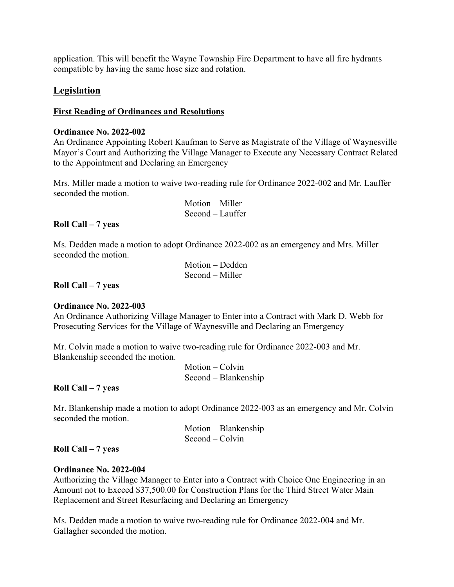application. This will benefit the Wayne Township Fire Department to have all fire hydrants compatible by having the same hose size and rotation.

## **Legislation**

#### **First Reading of Ordinances and Resolutions**

#### **Ordinance No. 2022-002**

An Ordinance Appointing Robert Kaufman to Serve as Magistrate of the Village of Waynesville Mayor's Court and Authorizing the Village Manager to Execute any Necessary Contract Related to the Appointment and Declaring an Emergency

Mrs. Miller made a motion to waive two-reading rule for Ordinance 2022-002 and Mr. Lauffer seconded the motion.

> Motion – Miller Second – Lauffer

## **Roll Call – 7 yeas**

Ms. Dedden made a motion to adopt Ordinance 2022-002 as an emergency and Mrs. Miller seconded the motion.

> Motion – Dedden Second – Miller

## **Roll Call – 7 yeas**

#### **Ordinance No. 2022-003**

An Ordinance Authorizing Village Manager to Enter into a Contract with Mark D. Webb for Prosecuting Services for the Village of Waynesville and Declaring an Emergency

Mr. Colvin made a motion to waive two-reading rule for Ordinance 2022-003 and Mr. Blankenship seconded the motion.

> Motion – Colvin Second – Blankenship

**Roll Call – 7 yeas** 

Mr. Blankenship made a motion to adopt Ordinance 2022-003 as an emergency and Mr. Colvin seconded the motion.

> Motion – Blankenship Second – Colvin

**Roll Call – 7 yeas** 

#### **Ordinance No. 2022-004**

Authorizing the Village Manager to Enter into a Contract with Choice One Engineering in an Amount not to Exceed \$37,500.00 for Construction Plans for the Third Street Water Main Replacement and Street Resurfacing and Declaring an Emergency

Ms. Dedden made a motion to waive two-reading rule for Ordinance 2022-004 and Mr. Gallagher seconded the motion.